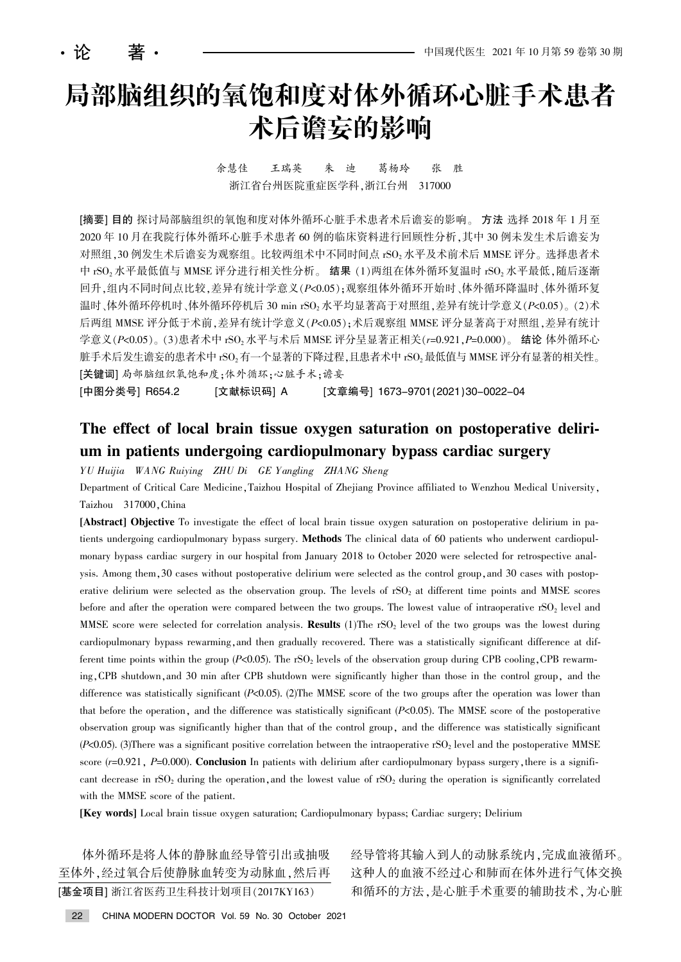# 局部脑组织的氧饱和度对体外循环心脏手术患者 术后谵妄的影响

余慧佳 王瑞英 朱 迪 葛杨玲 张 胜 浙江省台州医院重症医学科,浙江台州 317000

[摘要] 目的 探讨局部脑组织的氧饱和度对体外循环心脏手术患者术后谵妄的影响。方法 选择 2018 年 1 月至 2020 年 10 月在我院行体外循环心脏手术患者 60 例的临床资料进行回顾性分析, 其中 30 例未发生术后谵妄为 对照组, 30 例发生术后谵妄为观察组。比较两组术中不同时间点 rSO<sub>2</sub> 水平及术前术后 MMSE 评分。选择患者术 中 rSO<sub>2</sub> 水平最低值与 MMSE 评分进行相关性分析。 结果 (1)两组在体外循环复温时 rSO<sub>2</sub> 水平最低,随后逐渐 回升,组内不同时间点比较,差异有统计学意义(P<0.05);观察组体外循环开始时、体外循环降温时、体外循环复 温时、体外循环停机时、体外循环停机后 30 min rSO<sub>2</sub> 水平均显著高于对照组, 差异有统计学意义 (P<0.05)。 (2) 术 后两组 MMSE 评分低于术前, 差异有统计学意义(P<0.05): 术后观察组 MMSE 评分显著高于对照组, 差异有统计 学意义 $(P < 0.05)$  (3)患者术中 rSO<sub>2</sub> 水平与术后 MMSE 评分呈显著正相关(r=0.921, P=0.000)。 结论 体外循环心 脏手术后发生谵妄的患者术中 rSO<sub>2</sub> 有一个显著的下降过程,且患者术中 rSO<sub>2</sub> 最低值与 MMSE 评分有显著的相关性。 [关键词] 局部脑组织氧饱和度;体外循环;心脏手术;谵妄

[中图分类号] R654.2 [文献标识码] A [文章编号] 1673-9701(2021)30-0022-04

# The effect of local brain tissue oxygen saturation on postoperative delirium in patients undergoing cardiopulmonary bypass cardiac surgery

YU Huijia WANG Ruiying ZHU Di GE Y angling ZHANG Sheng

Department of Critical Care Medicine, Taizhou Hospital of Zhejiang Province affiliated to Wenzhou Medical University, Taizhou 317000, China

[Abstract] Objective To investigate the effect of local brain tissue oxygen saturation on postoperative delirium in patients undergoing cardiopulmonary bypass surgery. **Methods** The clinical data of 60 patients who underwent cardiopulmonary bypass cardiac surgery in our hospital from January 2018 to October 2020 were selected for retrospective analysis. Among them, 30 cases without postoperative delirium were selected as the control group, and 30 cases with postoperative delirium were selected as the observation group. The levels of  $rSO<sub>2</sub>$  at different time points and MMSE scores before and after the operation were compared between the two groups. The lowest value of intraoperative  $rSO<sub>2</sub>$  level and MMSE score were selected for correlation analysis. **Results** (1)The rSO<sub>2</sub> level of the two groups was the lowest during cardiopulmonary bypass rewarming, and then gradually recovered. There was a statistically significant difference at different time points within the group (P<0.05). The rSO<sub>2</sub> levels of the observation group during CPB cooling, CPB rewarming, CPB shutdown, and 30 min after CPB shutdown were significantly higher than those in the control group, and the difference was statistically significant  $(P<0.05)$ . (2)The MMSE score of the two groups after the operation was lower than that before the operation, and the difference was statistically significant  $(P<0.05)$ . The MMSE score of the postoperative observation group was significantly higher than that of the control group, and the difference was statistically significant  $(P<0.05)$ . (3)There was a significant positive correlation between the intraoperative rSO<sub>2</sub> level and the postoperative MMSE score  $(r=0.921, P=0.000)$ . Conclusion In patients with delirium after cardiopulmonary bypass surgery, there is a significant decrease in rSO<sub>2</sub> during the operation, and the lowest value of rSO<sub>2</sub> during the operation is significantly correlated with the MMSE score of the patient.

[Key words] Local brain tissue oxygen saturation; Cardiopulmonary bypass; Cardiac surgery; Delirium

体外循环是将人体的静脉血经导管引出或抽吸 至体外,经过氧合后使静脉血转变为动脉血,然后再 [基金项目] 浙江省医药卫生科技计划项目(2017KY163)

经导管将其输入到人的动脉系统内,完成血液循环。 这种人的血液不经过心和肺而在体外进行气体交换 和循环的方法,是心脏手术重要的辅助技术,为心脏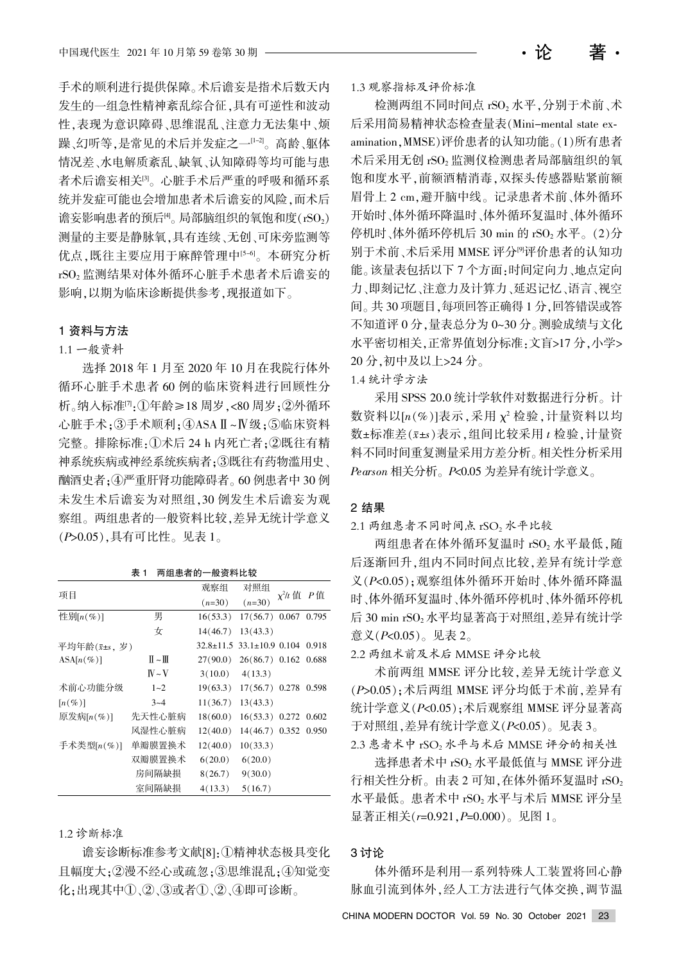手术的顺利进行提供保障。术后谵妄是指术后数天内 发生的一组急性精神紊乱综合征,具有可逆性和波动 性,表现为意识障碍、思维混乱、注意力无法集中、烦 躁、幻听等,是常见的术后并发症之一<sup>[1-2]</sup>。高龄、躯体 情况差、水电解质紊乱、缺氧、认知障碍等均可能与患 者术后谵妄相关 $[3]$ 。心脏手术后严重的呼吸和循环系 统并发症可能也会增加患者术后谵妄的风险,而术后 谵妄影响患者的预后 $H_0$ 。局部脑组织的氧饱和度 $(rSO_2)$ 测量的主要是静脉氧,具有连续、无创、可床旁监测等 优点,既往主要应用于麻醉管理中<sup>[5-6]</sup>。本研究分析 rSO<sub>2</sub> 监测结果对体外循环心脏手术患者术后谵妄的 影响,以期为临床诊断提供参考,现报道如下。

# 1 资料与方法

## 1.1 一般资料

选择 2018 年 1 月至 2020 年 10 月在我院行体外 循环心脏手术患者 60 例的临床资料进行回顾性分 析。纳入标准四:①年龄≥18 周岁,<80 周岁;②外循环 心脏手术:3手术顺利:4ASAI-W级:5临床资料 完整。排除标准:①术后 24 h 内死亡者;②既往有精 神系统疾病故神经系统疾病者;③既往有药物滥用史、 酗酒史者;4严重肝肾功能障碍者。60 例患者中 30 例 未发生术后谵妄为对照组,30 例发生术后谵妄为观 察组。两组患者的一般资料比较,差异无统计学意义 (P>0.05),具有可比性。见表 1。

表 1 两组患者的一般资料比较

| 项目                   |                             | 观察组             | 对照组                         | $x^2/t$ 值 P 值 |       |  |
|----------------------|-----------------------------|-----------------|-----------------------------|---------------|-------|--|
|                      |                             | $(n=30)$        | $(n=30)$                    |               |       |  |
| 性别 $[n(\%)]$         | 男                           | 16(53.3)        | $17(56.7)$ 0.067            |               | 0.795 |  |
|                      | 女                           | 14(46.7)        | 13(43.3)                    |               |       |  |
| 平均年龄(x+s,岁)          |                             | $32.8 \pm 11.5$ | $33.1 \pm 10.9$ 0.104 0.918 |               |       |  |
| $ASA[n(\%)]$         | $\mathbb{I}$ ~ $\mathbb{I}$ | 27(90.0)        | 26(86.7) 0.162 0.688        |               |       |  |
|                      | $W \sim V$                  | 3(10.0)         | 4(13.3)                     |               |       |  |
| 术前心功能分级              | $1 - 2$                     | 19(63.3)        | $17(56.7)$ 0.278            |               | 0.598 |  |
| $\lceil n(\%)\rceil$ | $3 - 4$                     | 11(36.7)        | 13(43.3)                    |               |       |  |
| 原发病 $[n(\%)]$        | 先天性心脏病                      | 18(60.0)        | $16(53.3)$ 0.272            |               | 0.602 |  |
|                      | 风湿性心脏病                      | 12(40.0)        | $14(46.7)$ 0.352            |               | 0.950 |  |
| 手术类型 $[n(\%)]$       | 单瓣膜置换术                      | 12(40.0)        | 10(33.3)                    |               |       |  |
|                      | 双瓣膜置换术                      | 6(20.0)         | 6(20.0)                     |               |       |  |
|                      | 房间隔缺损                       | 8(26.7)         | 9(30.0)                     |               |       |  |
|                      | 室间隔缺损                       | 4(13.3)         | 5(16.7)                     |               |       |  |

#### 1.2 诊断标准

谵妄诊断标准参考文献[8]:①精神状态极具变化 且幅度大: ②漫不经心或疏忽: ③思维混乱: ④知觉变 化;出现其中①、②、③或者①、②、④即可诊断。

检测两组不同时间点 rSO2 水平,分别于术前、术 后采用简易精神状态检查量表(Mini-mental state examination, MMSE)评价患者的认知功能。(1)所有患者 术后采用无创 rSO2 监测仪检测患者局部脑组织的氧 饱和度水平,前额酒精消毒,双探头传感器贴紧前额 眉骨上 2 cm,避开脑中线。记录患者术前、体外循环 开始时、体外循环降温时、体外循环 停机时、体外循环停机后 30 min 的 rSO<sub>2</sub> 水平。 (2)分 别于术前、术后采用 MMSE 评分<sup>四</sup>评价患者的认知功 能。该量表包括以下7个方面:时间定向力、地点定向 力、即刻记忆、注意力及计算力、延迟记忆、语言、视空 间。共 30 项题目,每项回答正确得 1 分,回答错误或答 不知道评 0 分, 量表总分为 0~30 分。测验成绩与文化 水平密切相关,正常界值划分标准:文盲>17分,小学> 20 分, 初中及以上>24 分。

1.4 统计学方法

采用 SPSS 20.0 统计学软件对数据进行分析。计 数资料以 $[n(%)$ 表示,采用  $\chi^2$  检验, 计量资料以均 数±标准差 $(x \pm s)$ 表示,组间比较采用  $t$  检验, 计量资 料不同时间重复测量采用方差分析。相关性分析采用  $Pearson$  相关分析。 $P$ <0.05 为差异有统计学意义。

# 2 结果

 $2.1$  两组患者不同时间点  $\text{rSO}_2$  水平比较

两组患者在体外循环复温时 rSO<sub>2</sub> 水平最低, 随 后逐渐回升,组内不同时间点比较,差异有统计学意 义(P<0.05);观察组体外循环开始时、体外循环降温 时、体外循环复温时、体外循环的机 后 30 min  $rSO<sub>2</sub>$ 水平均显著高于对照组,差异有统计学 意义 $(P< 0.05)$ 。见表 2。

2.2 两组术前及术后 MMSE 评分比较

术前两组 MMSE 评分比较,差异无统计学意义 (P>0.05);术后两组 MMSE 评分均低于术前,差异有 统计学意义(P<0.05);术后观察组 MMSE 评分显著高 于对照组, 差异有统计学意义 ( $P<sub>5</sub>0.05$ )。见表 3。 2.3 患者术中 rSO2 水平与术后 MMSE 评分的相关性

选择患者术中 rSO<sub>2</sub> 水平最低值与 MMSE 评分进 行相关性分析。由表 2 可知,在体外循环复温时  $rSO_2$ 水平最低。患者术中 rSO2 水平与术后 MMSE 评分呈 显著正相关 $(r=0.921, P=0.000)$ 。见图 1。

### 3 讨论

体外循环是利用一系列特殊人工装置将回心静 脉血引流到体外,经人工方法进行气体交换,调节温

CHINA MODERN DOCTOR Vol. 59 No. 30 October 2021 23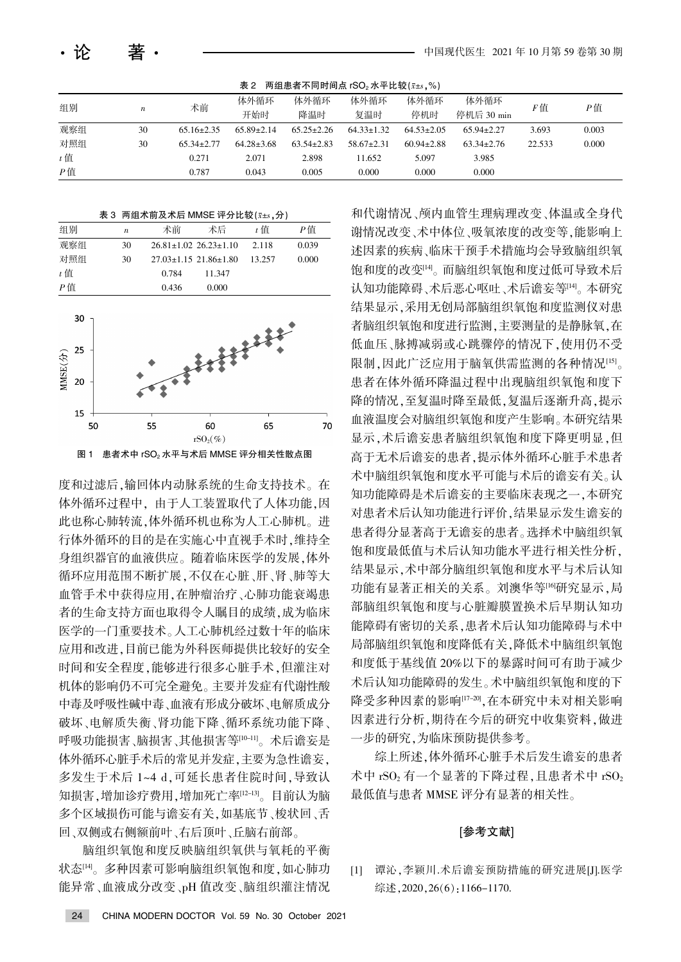|  | 表 2 两组患者不同时间点 rSO2 水平比较( $\bar{x}$ ±s,%) |  |
|--|------------------------------------------|--|
|--|------------------------------------------|--|

| 组别<br>$\boldsymbol{n}$ |    |                  | 体外循环             | 体外循环             | 体外循环             | 体外循环             | 体外循环             | F值     |       |
|------------------------|----|------------------|------------------|------------------|------------------|------------------|------------------|--------|-------|
|                        | 术前 | 开始时              | 降温时              | 复温时              | 停机时              | 停机后 30 min       |                  | P值     |       |
| 观察组                    | 30 | $65.16 \pm 2.35$ | $65.89 \pm 2.14$ | $65.25 \pm 2.26$ | $64.33 \pm 1.32$ | $64.53 \pm 2.05$ | $65.94 \pm 2.27$ | 3.693  | 0.003 |
| 对照组                    | 30 | $65.34 \pm 2.77$ | $64.28 \pm 3.68$ | $63.54 \pm 2.83$ | $58.67 \pm 2.31$ | $60.94 \pm 2.88$ | $63.34 \pm 2.76$ | 22.533 | 0.000 |
| $t$ 值                  |    | 0.271            | 2.071            | 2.898            | 11.652           | 5.097            | 3.985            |        |       |
| $P$ 值                  |    | 0.787            | 0.043            | 0.005            | 0.000            | 0.000            | 0.000            |        |       |

表 3 两组术前及术后 MMSE 评分比较 $(x \pm s, \hat{y})$ 

| 组别    | $\boldsymbol{n}$ | 术前    | 术后                                | t 值    | P信    |
|-------|------------------|-------|-----------------------------------|--------|-------|
| 观察组   | 30               |       | $26.81 \pm 1.02$ $26.23 \pm 1.10$ | 2.118  | 0.039 |
| 对照组   | 30               |       | $27.03 \pm 1.15$ 21.86 $\pm 1.80$ | 13.257 | 0.000 |
| $t$ 值 |                  | 0.784 | 11.347                            |        |       |
| P値    |                  | 0.436 | 0.000                             |        |       |



图 1 患者术中 rSO2 水平与术后 MMSE 评分相关性散点图

度和过滤后,输回体内动脉系统的生命支持技术。在 体外循环过程中, 由于人工装置取代了人体功能,因 此也称心肺转流,体外循环机也称为人工心肺机。进 行体外循环的目的是在实施心中直视手术时,维持全 身组织器官的血液供应。随着临床医学的发展,体外 循环应用范围不断扩展,不仅在心脏、肝、肾、肺等大 血管手术中获得应用,在肿瘤治疗、心肺功能衰竭患 者的生命支持方面也取得令人瞩目的成绩,成为临床 医学的一门重要技术。人工心肺机经过数十年的临床 应用和改进,目前已能为外科医师提供比较好的安全 时间和安全程度,能够进行很多心脏手术,但灌注对 机体的影响仍不可完全避免。主要并发症有代谢性酸 中毒及呼吸性碱中毒、血液有形成分破坏、电解质成分 破坏、电解质失衡、肾功能下降、循环系统功能下降、 呼吸功能损害、脑损害、其他损害等[10-11]。 术后谵妄是 体外循环心脏手术后的常见并发症,主要为急性谵妄, 多发生于术后 1~4 d,可延长患者住院时间,导致认 知损害,增加诊疗费用,增加死亡率[12-13]。目前认为脑 多个区域损伤可能与谵妄有关,如基底节、梭状回、舌 回、双侧或右侧额前叶、右后顶叶、丘脑右前部。

脑组织氧供与氧耗的平衡 状态[14]。多种因素可影响脑组织氧饱和度,如心肺功 能异常、血液成分改变、pH 值改变、脑组织灌注情况

和代谢情况、颅内血管生理病理改变、体温或全身代 谢情况改变、术中体位、吸氧浓度的改变等,能影响上 述因素的疾病、临床干预手术措施均会导致脑组织氧 饱和度的改变[4]。而脑组织氧饱和度过低可导致术后 认知功能障碍、术后恶心呕吐、术后谵妄等[14]。 本研究 结果显示,采用无创局部脑组织氧饱和度监测仪对患 者脑组织氧饱和度进行监测,主要测量的是静脉氧,在 低血压、脉搏减弱或心跳骤停的情况下,使用仍不受 限制,因此广泛应用于脑氧供需监测的各种情况[15]。 患者在体外循环降温过程中出现脑组织氧饱和度下 降的情况.至复温时降至最低.复温后逐渐升高.提示 血液温度会对脑组织氧饱和度产生影响。本研究结果 显示,术后谵妄患者脑组织氧饱和度下降更明显,但 高于无术后谵妄的患者, 提示体外循环心脏手术患者 术中脑组织氧饱和度水平可能与术后的谵妄有关。认 知功能障碍是术后谵妄的主要临床表现之一,本研究 对患者术后认知功能进行评价,结果显示发生谵妄的 患者得分显著高于无谵妄的患者。选择术中脑组织氧 饱和度最低值与术后认知功能水平进行相关性分析, 结果显示,术中部分脑组织氧饱和度水平与术后认知 功能有显著正相关的关系。刘澳华等[16]研究显示,局 部脑组织氧饱和度与心脏瓣膜置换术后早期认知功 能障碍有密切的关系,患者术后认知功能障碍与术中 局部脑组织氧饱和度降低有关,降低术中脑组织氧饱 和度低于基线值 20%以下的暴露时间可有助于减少 术后认知功能障碍的发生。术中脑组织氧饱和度的下 降受多种因素的影响[17-20], 在本研究中未对相关影响 因素进行分析, 期待在今后的研究中收集资料, 做进 一步的研究,为临床预防提供参考。

综上所述,体外循环心脏手术后发生谵妄的患者 术中 rSO<sub>2</sub> 有一个显著的下降过程, 且患者术中 rSO<sub>2</sub> 最低值与患者 MMSE 评分有显著的相关性。

#### [参考文献]

[1] 谭沁,李颖川.术后谵妄预防措施的研究进展[J].医学 综述,  $2020, 26(6)$ : 1166-1170.